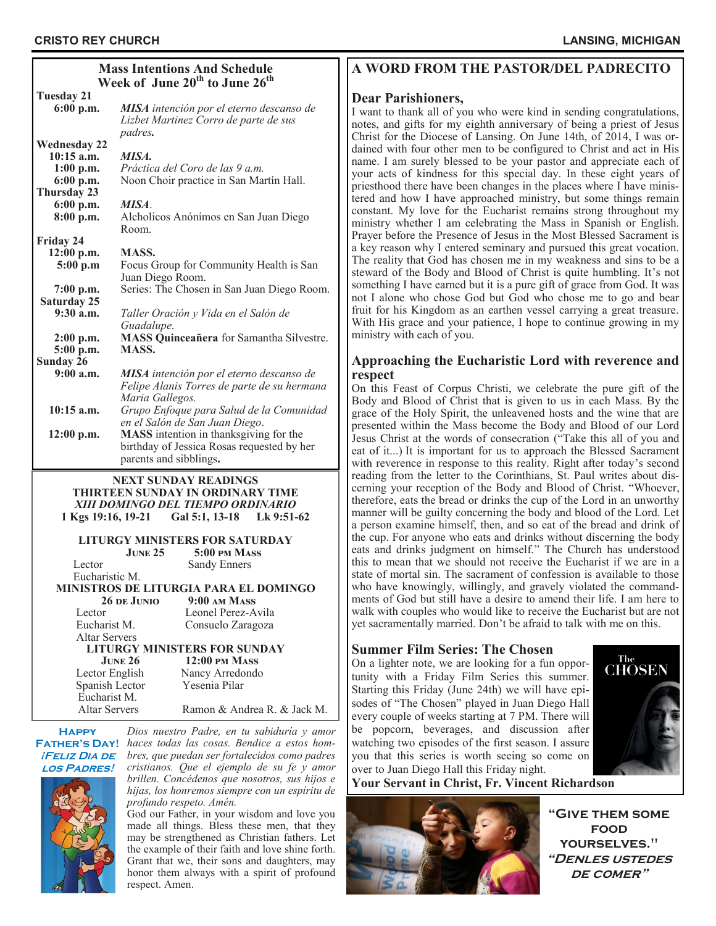| <b>Mass Intentions And Schedule</b><br>Week of June 20 <sup>th</sup> to June 26 <sup>th</sup> |                                                 |
|-----------------------------------------------------------------------------------------------|-------------------------------------------------|
| Tuesday 21                                                                                    |                                                 |
| 6:00 p.m.                                                                                     | <b>MISA</b> intención por el eterno descanso de |
|                                                                                               | Lizbet Martinez Corro de parte de sus           |
|                                                                                               | <i>padres.</i>                                  |
| <b>Wednesday 22</b>                                                                           |                                                 |
| $10:15$ a.m.                                                                                  | MISA.                                           |
| $1:00$ p.m.                                                                                   | Práctica del Coro de las 9 a.m.                 |
| $6:00$ p.m.                                                                                   | Noon Choir practice in San Martín Hall.         |
| Thursday 23                                                                                   |                                                 |
| 6:00 p.m.                                                                                     | MISA.                                           |
| 8:00 p.m.                                                                                     | Alcholicos Anónimos en San Juan Diego           |
|                                                                                               | Room.                                           |
|                                                                                               |                                                 |
| Friday 24                                                                                     | MASS.                                           |
| 12:00 p.m.                                                                                    |                                                 |
| 5:00 p.m                                                                                      | Focus Group for Community Health is San         |
|                                                                                               | Juan Diego Room.                                |
| $7:00$ p.m.                                                                                   | Series: The Chosen in San Juan Diego Room.      |
| Saturday 25                                                                                   |                                                 |
| $9:30$ a.m.                                                                                   | Taller Oración y Vida en el Salón de            |
|                                                                                               | Guadalupe.                                      |
| 2:00 p.m.                                                                                     | <b>MASS Quinceañera</b> for Samantha Silvestre. |
| 5:00 p.m.                                                                                     | <b>MASS.</b>                                    |
| Sunday 26                                                                                     |                                                 |
| $9:00$ a.m.                                                                                   | <b>MISA</b> intención por el eterno descanso de |
|                                                                                               | Felipe Alanis Torres de parte de su hermana     |
|                                                                                               | Maria Gallegos.                                 |
| $10:15$ a.m.                                                                                  | Grupo Enfoque para Salud de la Comunidad        |
|                                                                                               | en el Salón de San Juan Diego.                  |
| $12:00$ p.m.                                                                                  | MASS intention in thanksgiving for the          |
|                                                                                               | birthday of Jessica Rosas requested by her      |
|                                                                                               | parents and sibblings.                          |
|                                                                                               |                                                 |

### **NEXT SUNDAY READINGS THIRTEEN SUNDAY IN ORDINARY TIME** *XIII DOMINGO DEL TIEMPO ORDINARIO*

**1 Kgs 19:16, 19-21 Gal 5:1, 13-18 Lk 9:51-62**

**LITURGY MINISTERS FOR SATURDAY** 

5:00 **pm Mass** Lector Sandy Enners

#### Eucharistic M. **MINISTROS DE LITURGIA PARA EL DOMINGO 26 de Junio 9:00 am Mass** Lector Leonel Perez-Avila Eucharist M. Consuelo Zaragoza Altar Servers **LITURGY MINISTERS FOR SUNDAY June 26 12:00 pm Mass** Lector English Nancy Arredondo Spanish Lector Yesenia Pilar Eucharist M.

Altar Servers Ramon & Andrea R. & Jack M.

**Happy ¡Feliz Dia de los Padres!**

*Dios nuestro Padre, en tu sabiduría y amor*  **FATHER'S DAY!** haces todas las cosas. Bendice a estos hom*bres, que puedan ser fortalecidos como padres cristianos. Que el ejemplo de su fe y amor brillen. Concédenos que nosotros, sus hijos e hijas, los honremos siempre con un espíritu de profundo respeto. Amén.*

God our Father, in your wisdom and love you made all things. Bless these men, that they may be strengthened as Christian fathers. Let the example of their faith and love shine forth. Grant that we, their sons and daughters, may honor them always with a spirit of profound respect. Amen.

# **A WORD FROM THE PASTOR/DEL PADRECITO**

## **Dear Parishioners,**

I want to thank all of you who were kind in sending congratulations, notes, and gifts for my eighth anniversary of being a priest of Jesus Christ for the Diocese of Lansing. On June 14th, of 2014, I was ordained with four other men to be configured to Christ and act in His name. I am surely blessed to be your pastor and appreciate each of your acts of kindness for this special day. In these eight years of priesthood there have been changes in the places where I have ministered and how I have approached ministry, but some things remain constant. My love for the Eucharist remains strong throughout my ministry whether I am celebrating the Mass in Spanish or English. Prayer before the Presence of Jesus in the Most Blessed Sacrament is a key reason why I entered seminary and pursued this great vocation. The reality that God has chosen me in my weakness and sins to be a steward of the Body and Blood of Christ is quite humbling. It's not something I have earned but it is a pure gift of grace from God. It was not I alone who chose God but God who chose me to go and bear fruit for his Kingdom as an earthen vessel carrying a great treasure. With His grace and your patience, I hope to continue growing in my ministry with each of you.

## **Approaching the Eucharistic Lord with reverence and respect**

On this Feast of Corpus Christi, we celebrate the pure gift of the Body and Blood of Christ that is given to us in each Mass. By the grace of the Holy Spirit, the unleavened hosts and the wine that are presented within the Mass become the Body and Blood of our Lord Jesus Christ at the words of consecration ("Take this all of you and eat of it...) It is important for us to approach the Blessed Sacrament with reverence in response to this reality. Right after today's second reading from the letter to the Corinthians, St. Paul writes about discerning your reception of the Body and Blood of Christ. "Whoever, therefore, eats the bread or drinks the cup of the Lord in an unworthy manner will be guilty concerning the body and blood of the Lord. Let a person examine himself, then, and so eat of the bread and drink of the cup. For anyone who eats and drinks without discerning the body eats and drinks judgment on himself." The Church has understood this to mean that we should not receive the Eucharist if we are in a state of mortal sin. The sacrament of confession is available to those who have knowingly, willingly, and gravely violated the commandments of God but still have a desire to amend their life. I am here to walk with couples who would like to receive the Eucharist but are not yet sacramentally married. Don't be afraid to talk with me on this.

# **Summer Film Series: The Chosen**

On a lighter note, we are looking for a fun opportunity with a Friday Film Series this summer. Starting this Friday (June 24th) we will have episodes of "The Chosen" played in Juan Diego Hall every couple of weeks starting at 7 PM. There will be popcorn, beverages, and discussion after watching two episodes of the first season. I assure you that this series is worth seeing so come on over to Juan Diego Hall this Friday night.



**Your Servant in Christ, Fr. Vincent Richardson**



**"Give them some food yourselves." "Denles ustedes de comer"**